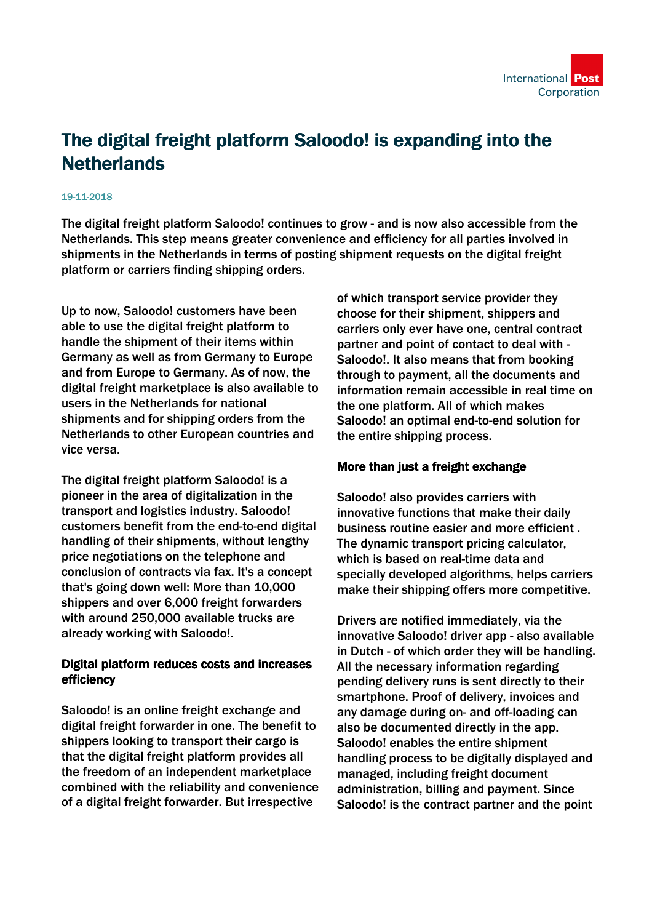

## The digital freight platform Saloodo! is expanding into the **Netherlands**

## 19-11-2018

The digital freight platform Saloodo! continues to grow - and is now also accessible from the Netherlands. This step means greater convenience and efficiency for all parties involved in shipments in the Netherlands in terms of posting shipment requests on the digital freight platform or carriers finding shipping orders.

Up to now, Saloodo! customers have been able to use the digital freight platform to handle the shipment of their items within Germany as well as from Germany to Europe and from Europe to Germany. As of now, the digital freight marketplace is also available to users in the Netherlands for national shipments and for shipping orders from the Netherlands to other European countries and vice versa.

The digital freight platform Saloodo! is a pioneer in the area of digitalization in the transport and logistics industry. Saloodo! customers benefit from the end-to-end digital handling of their shipments, without lengthy price negotiations on the telephone and conclusion of contracts via fax. It's a concept that's going down well: More than 10,000 shippers and over 6,000 freight forwarders with around 250,000 available trucks are already working with Saloodo!.

## Digital platform reduces costs and increases efficiency

Saloodo! is an online freight exchange and digital freight forwarder in one. The benefit to shippers looking to transport their cargo is that the digital freight platform provides all the freedom of an independent marketplace combined with the reliability and convenience of a digital freight forwarder. But irrespective

of which transport service provider they choose for their shipment, shippers and carriers only ever have one, central contract partner and point of contact to deal with - Saloodo!. It also means that from booking through to payment, all the documents and information remain accessible in real time on the one platform. All of which makes Saloodo! an optimal end-to-end solution for the entire shipping process.

## More than just a freight exchange

Saloodo! also provides carriers with innovative functions that make their daily business routine easier and more efficient . The dynamic transport pricing calculator, which is based on real-time data and specially developed algorithms, helps carriers make their shipping offers more competitive.

Drivers are notified immediately, via the innovative Saloodo! driver app - also available in Dutch - of which order they will be handling. All the necessary information regarding pending delivery runs is sent directly to their smartphone. Proof of delivery, invoices and any damage during on- and off-loading can also be documented directly in the app. Saloodo! enables the entire shipment handling process to be digitally displayed and managed, including freight document administration, billing and payment. Since Saloodo! is the contract partner and the point